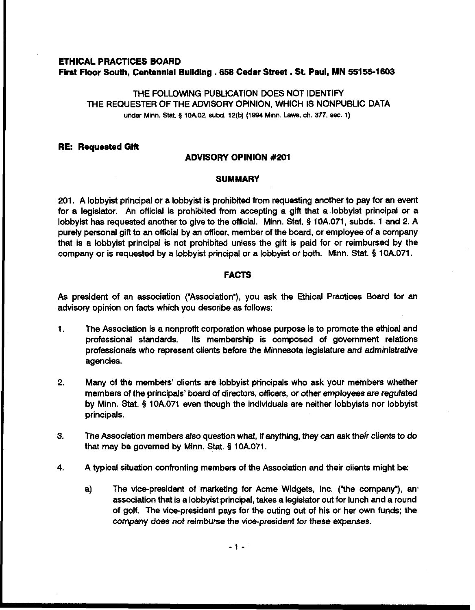# **ETHICAL PRACTICES BOARD First Floor South, Centennial Building .658 Cedar Street** . **St Paul, MN 55155-1603**

THE FOLLOWING PUBLICATION DOES NOT IDENTIFY THE REQUESTER OF THE ADVISORY OPINION, WHICH IS NONPUBLIC DATA under Minn. Stat. § 10A02, subd. 12(b) (1994 Minn. Laws, ch. 377, sec. 1)

## **RE: Roque8ted Gift**

## **ADVISORY OPINION #201**

## **SUMMARY**

201. A lobbyist principal or a lobbyist is prohibied from requesting another to pay for an event for a legislator. An official is prohibited from accepting a gift that a lobbyist principal or a lobbyist has requested another to give to the official. Minn. Stat. **5** 10A.071, subds. 1 and 2. A purely personal gift to an official by an officer, member of the board, or employee of a company that is a lobbyist principal is not prohibited unless the gift is paid for or reimbursed by the company or is requested by a lobbyist principal or a lobbyist or both. Minn. Stat. **5** 10A.071.

## **FACTS**

As president of an association ("Association'), you ask the Ethical Practices Board for an advisory opinion on facts which you describe as follows:

- 1. The Association is a nonprofit corporation whose purpose is to promote the ethical and professional standards. Its membership is composed of government relations professionals who represent clients before the Minnesota legislature and administrative agencies.
- 2. Many of the members' clients are lobbyist principals who ask your members whether members of the principals' board of directors, officers, or other employees are regulated by Minn. Stat. **5** 10A.071 even though the individuals are neither lobbyists nor lobbyist principals.
- **3.** The Association members also question what, if anything, they can ask their clients to do that may be governed by Minn. Stat. **5** 10A.071.
- **4.** A typical situation confronting members of the Association and their clients might be:
	- a) The vice-president of marketing for Acme Widgets, Inc. ("the company'), an. association that is a lobbyist principal, takes a legislator out for lunch and a round of golf. The vice-president pays for the outing out of his or her own funds; the company does not reimburse the vice-president for these expenses.

 $-1-$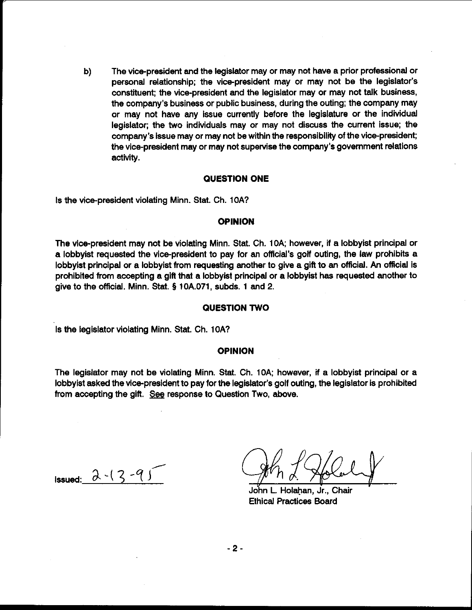b) The vice-president and the legislator may or may not have a prior professional or personal relationship; the vice-president may or may not be the legislator's constituent; the vice-president and the legislator may or may not talk business, the company's business or public business, during the outing; the company may or may not have any issue currently before the legislature or the individual legislator; the two individuals may or may not discuss the current issue; the company's issue may or may not be within the responsibility of the vice-president; the vice-president may or may not supervise the company's government relations activity.

### **QUESTION ONE**

Is the vicepresident violating Minn. Stat. Ch. **IOA?** 

## **OPINION**

The vice-president may not be violating Minn. Stat. Ch. **10A;** however, if a lobbyist principal or a lobbyist requested the vice-president to pay for an official's golf outing, the law prohibits a lobbyist principal or a lobbyist from requesting another to give a gift to an official. An official is prohibited from accepting a gift that a lobbyist principal or a lobbyist has requested another to give to the official. Minn. Stat. § **10A.071,** subds. **1** and 2.

## **QUESTION TWO**

Is the legislator violating Minn. Stat. Ch. **IOA?** 

### **OPINION**

The legislator may not be violating Minn. Stat. Ch. **10A;** however, if a lobbyist principal or a lobbyist asked the vice-president to pay for the legislator's golf outing, the legislator is prohibited from accepting the gift. See response to Question Two, above.

**issued:**  $2 - (3 - 9)$ 

~obn L.Hotahan, **jr.,** Chair Ethical Practices Board

 $-2-$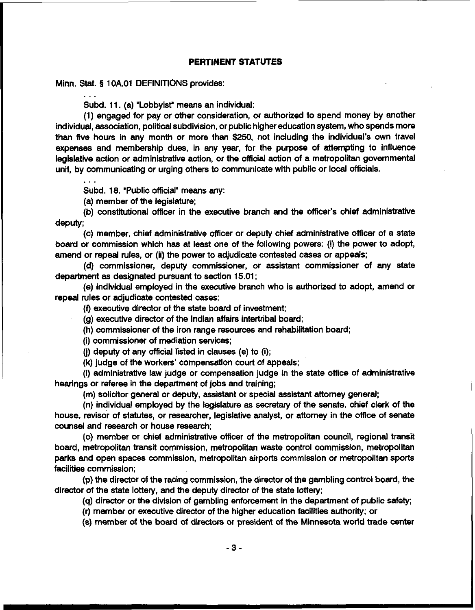## **PERTINENT STATUTES**

Minn. Stat. **5** 10A.O1 DEFINITIONS provides:

... Subd. 11. (a) "Lobbyist" means an individual:

(1) engaged for pay or other consideration, or authorized to spend money by another individual, association, political subdivision, or public higher education system, who spends more than five hours in any month or more than **\$250,** not including the individual's own travel expenses and membership dues, in any year, for the purpose of attempting to influence legislative action or administrative action, or the official action of a metropolitan governmental unit, by communicating or urging others to communicate with public or local officials.

...

Subd. 18. 'Public official" means any:

(a) member of the legislature;

(b) contiional officer in the executive branch and the officer's chief administrative deputy;

(c) member, chief administrative officer or deputy chief administrative officer of a state board or commission which has at least one of the following powers: (i) the power to adopt, amend or repeal rules, or (ii) the power to adjudicate contested cases or appeals;

**(d)** commissioner, deputy commissioner, or assistant commissioner of any state department as designated pursuant to section 15.01;

(e) individual employed in the executive branch who is authorized to adopt, amend or repeal rules or adjudicate contested cases;

(f) executive director of the state board of investment;

(g) executive director of the Indian affairs intertribal board;

(h) commissioner of the iron range resources and rehabilitation board;

(i) commissioner of mediation services;

**(j)** deputy of any official listed in clauses (e) to (i);

(k) judge of the workers' compensation court of appeals;

(I) administrative law judge or compensation judge in the state office of administrative hearings or referee in the depattment of jobs and training;

(m) solicitor general or deputy, assistant or special assistant attorney general;

(n) individual employed by the legislature as secretaty of the senate, chief clerk of the house, revisor of statutes, or researcher, legislative analyst, or attorney in the office of senate counsel and research or house research;

(0) member or chief administratiie officer of the metropolitan council, regional transit board, metropolitan transit commission, metropditan waste control commission, metropolitan parks and open spaces commission, metropolitan airports commission or metropditan sports facilities commission;

**(p)** the director of the racing commission, the director of the gambling control board, the director of the state lottery, and the deputy director of the state lottery;

(q) director or the division of gambling enforcement in the department of public safety;

(r) member or executive director of the higher education faciliies authority; or

(s) member of the board of directors or president of the Minnesota world trade center